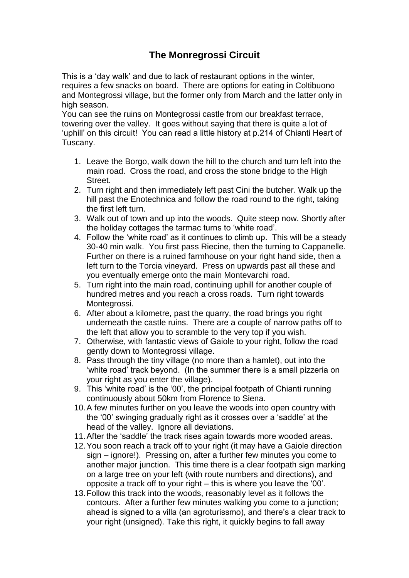## **The Monregrossi Circuit**

This is a 'day walk' and due to lack of restaurant options in the winter, requires a few snacks on board. There are options for eating in Coltibuono and Montegrossi village, but the former only from March and the latter only in high season.

You can see the ruins on Montegrossi castle from our breakfast terrace, towering over the valley. It goes without saying that there is quite a lot of 'uphill' on this circuit! You can read a little history at p.214 of Chianti Heart of Tuscany.

- 1. Leave the Borgo, walk down the hill to the church and turn left into the main road. Cross the road, and cross the stone bridge to the High Street.
- 2. Turn right and then immediately left past Cini the butcher. Walk up the hill past the Enotechnica and follow the road round to the right, taking the first left turn.
- 3. Walk out of town and up into the woods. Quite steep now. Shortly after the holiday cottages the tarmac turns to 'white road'.
- 4. Follow the 'white road' as it continues to climb up. This will be a steady 30-40 min walk. You first pass Riecine, then the turning to Cappanelle. Further on there is a ruined farmhouse on your right hand side, then a left turn to the Torcia vineyard. Press on upwards past all these and you eventually emerge onto the main Montevarchi road.
- 5. Turn right into the main road, continuing uphill for another couple of hundred metres and you reach a cross roads. Turn right towards Montegrossi.
- 6. After about a kilometre, past the quarry, the road brings you right underneath the castle ruins. There are a couple of narrow paths off to the left that allow you to scramble to the very top if you wish.
- 7. Otherwise, with fantastic views of Gaiole to your right, follow the road gently down to Montegrossi village.
- 8. Pass through the tiny village (no more than a hamlet), out into the 'white road' track beyond. (In the summer there is a small pizzeria on your right as you enter the village).
- 9. This 'white road' is the '00', the principal footpath of Chianti running continuously about 50km from Florence to Siena.
- 10.A few minutes further on you leave the woods into open country with the '00' swinging gradually right as it crosses over a 'saddle' at the head of the valley. Ignore all deviations.
- 11.After the 'saddle' the track rises again towards more wooded areas.
- 12.You soon reach a track off to your right (it may have a Gaiole direction sign – ignore!). Pressing on, after a further few minutes you come to another major junction. This time there is a clear footpath sign marking on a large tree on your left (with route numbers and directions), and opposite a track off to your right – this is where you leave the '00'.
- 13.Follow this track into the woods, reasonably level as it follows the contours. After a further few minutes walking you come to a junction; ahead is signed to a villa (an agroturissmo), and there's a clear track to your right (unsigned). Take this right, it quickly begins to fall away